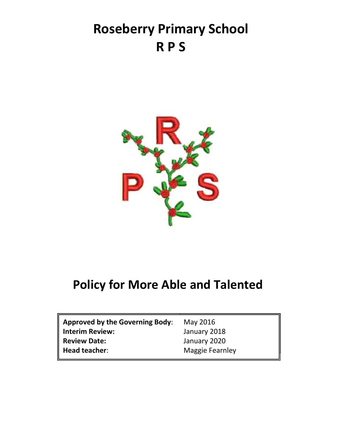# **Roseberry Primary School R P S**



## **Policy for More Able and Talented**

| <b>Approved by the Governing Body:</b> | May 2016               |
|----------------------------------------|------------------------|
| <b>Interim Review:</b>                 | January 2018           |
| <b>Review Date:</b>                    | January 2020           |
| Head teacher:                          | <b>Maggie Fearnley</b> |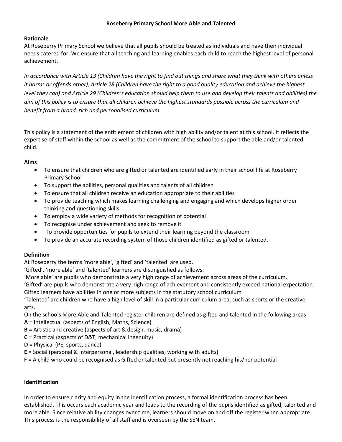#### **Roseberry Primary School More Able and Talented**

#### **Rationale**

At Roseberry Primary School we believe that all pupils should be treated as individuals and have their individual needs catered for. We ensure that all teaching and learning enables each child to reach the highest level of personal achievement.

*In accordance with Article 13 (Children have the right to find out things and share what they think with others unless it harms or offends other), Article 28 (Children have the right to a good quality education and achieve the highest level they can) and Article 29 (Children's education should help them to use and develop their talents and abilities) the aim of this policy is to ensure that all children achieve the highest standards possible across the curriculum and benefit from a broad, rich and personalised curriculum.*

This policy is a statement of the entitlement of children with high ability and/or talent at this school. It reflects the expertise of staff within the school as well as the commitment of the school to support the able and/or talented child.

#### **Aims**

- To ensure that children who are gifted or talented are identified early in their school life at Roseberry Primary School
- To support the abilities, personal qualities and talents of all children
- To ensure that all children receive an education appropriate to their abilities
- To provide teaching which makes learning challenging and engaging and which develops higher order thinking and questioning skills
- To employ a wide variety of methods for recognition of potential
- To recognise under achievement and seek to remove it
- To provide opportunities for pupils to extend their learning beyond the classroom
- To provide an accurate recording system of those children identified as gifted or talented.

#### **Definition**

At Roseberry the terms 'more able', 'gifted' and 'talented' are used.

'Gifted', 'more able' and 'talented' learners are distinguished as follows:

'More able' are pupils who demonstrate a very high range of achievement across areas of the curriculum.

'Gifted' are pupils who demonstrate a very high range of achievement and consistently exceed national expectation. Gifted learners have abilities in one or more subjects in the statutory school curriculum

'Talented' are children who have a high level of skill in a particular curriculum area, such as sports or the creative arts.

On the schools More Able and Talented register children are defined as gifted and talented in the following areas:

- **A** = Intellectual (aspects of English, Maths, Science)
- **B** = Artistic and creative (aspects of art & design, music, drama)
- **C** = Practical (aspects of D&T, mechanical ingenuity)
- **D** = Physical (PE, sports, dance)
- **E** = Social (personal & interpersonal, leadership qualities, working with adults)
- **F** = A child who could be recognised as Gifted or talented but presently not reaching his/her potential

#### **Identification**

In order to ensure clarity and equity in the identification process, a formal identification process has been established. This occurs each academic year and leads to the recording of the pupils identified as gifted, talented and more able. Since relative ability changes over time, learners should move on and off the register when appropriate. This process is the responsibility of all staff and is overseen by the SEN team.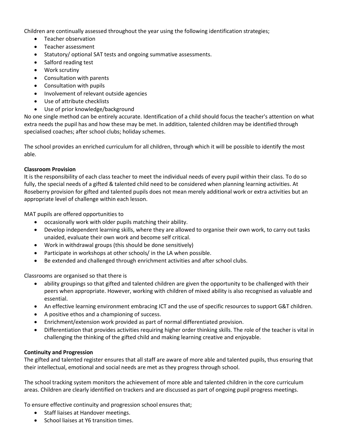Children are continually assessed throughout the year using the following identification strategies;

- Teacher observation
- Teacher assessment
- Statutory/ optional SAT tests and ongoing summative assessments.
- Salford reading test
- Work scrutiny
- Consultation with parents
- Consultation with pupils
- Involvement of relevant outside agencies
- Use of attribute checklists
- Use of prior knowledge/background

No one single method can be entirely accurate. Identification of a child should focus the teacher's attention on what extra needs the pupil has and how these may be met. In addition, talented children may be identified through specialised coaches; after school clubs; holiday schemes.

The school provides an enriched curriculum for all children, through which it will be possible to identify the most able.

#### **Classroom Provision**

It is the responsibility of each class teacher to meet the individual needs of every pupil within their class. To do so fully, the special needs of a gifted & talented child need to be considered when planning learning activities. At Roseberry provision for gifted and talented pupils does not mean merely additional work or extra activities but an appropriate level of challenge within each lesson.

MAT pupils are offered opportunities to

- occasionally work with older pupils matching their ability.
- Develop independent learning skills, where they are allowed to organise their own work, to carry out tasks unaided, evaluate their own work and become self critical.
- Work in withdrawal groups (this should be done sensitively)
- Participate in workshops at other schools/ in the LA when possible.
- Be extended and challenged through enrichment activities and after school clubs.

Classrooms are organised so that there is

- ability groupings so that gifted and talented children are given the opportunity to be challenged with their peers when appropriate. However, working with children of mixed ability is also recognised as valuable and essential.
- An effective learning environment embracing ICT and the use of specific resources to support G&T children.
- A positive ethos and a championing of success.
- Enrichment/extension work provided as part of normal differentiated provision.
- Differentiation that provides activities requiring higher order thinking skills. The role of the teacher is vital in challenging the thinking of the gifted child and making learning creative and enjoyable.

#### **Continuity and Progression**

The gifted and talented register ensures that all staff are aware of more able and talented pupils, thus ensuring that their intellectual, emotional and social needs are met as they progress through school.

The school tracking system monitors the achievement of more able and talented children in the core curriculum areas. Children are clearly identified on trackers and are discussed as part of ongoing pupil progress meetings.

To ensure effective continuity and progression school ensures that;

- Staff liaises at Handover meetings.
- School liaises at Y6 transition times.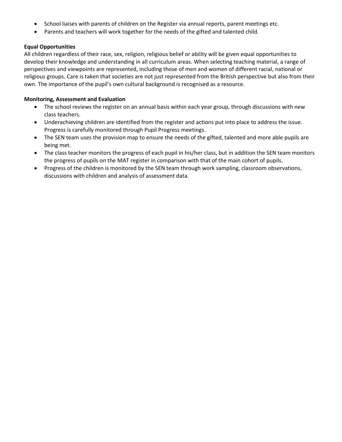- School liaises with parents of children on the Register via annual reports, parent meetings etc.
- Parents and teachers will work together for the needs of the gifted and talented child.

### **Equal Opportunities**

All children regardless of their race, sex, religion, religious belief or ability will be given equal opportunities to develop their knowledge and understanding in all curriculum areas. When selecting teaching material, a range of perspectives and viewpoints are represented, including those of men and women of different racial, national or religious groups. Care is taken that societies are not just represented from the British perspective but also from their own. The importance of the pupil's own cultural background is recognised as a resource.

#### **Monitoring, Assessment and Evaluation**

- The school reviews the register on an annual basis within each year group, through discussions with new class teachers.
- Underachieving children are identified from the register and actions put into place to address the issue. Progress is carefully monitored through Pupil Progress meetings.
- The SEN team uses the provision map to ensure the needs of the gifted, talented and more able pupils are being met.
- The class teacher monitors the progress of each pupil in his/her class, but in addition the SEN team monitors the progress of pupils on the MAT register in comparison with that of the main cohort of pupils.
- Progress of the children is monitored by the SEN team through work sampling, classroom observations, discussions with children and analysis of assessment data.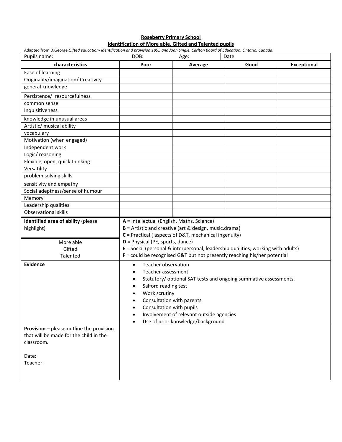#### **Roseberry Primary School Identification of More able, Gifted and Talented pupils**

Adapted from D.George *Gifted education- identification and provision 1995 and Joan Single, Carlton Board of Education, Ontario, Canada.*  Pupils name: DOB: Age: Date: **characteristics Poor Average Good Exceptional** Ease of learning Originality/imagination/ Creativity general knowledge Persistence/ resourcefulness common sense Inquisitiveness knowledge in unusual areas Artistic/ musical ability vocabulary Motivation (when engaged) Independent work Logic/ reasoning Flexible, open, quick thinking Versatility problem solving skills sensitivity and empathy Social adeptness/sense of humour Memory Leadership qualities Observational skills **Identified area of ability** (please highlight) **A** = Intellectual (English, Maths, Science) **B** = Artistic and creative (art & design, music,drama) **C** = Practical ( aspects of D&T, mechanical ingenuity) **D** = Physical (PE, sports, dance) **E** = Social (personal & interpersonal, leadership qualities, working with adults) **F** = could be recognised G&T but not presently reaching his/her potential More able Gifted Talented **Evidence Teacher observation**  Teacher assessment Statutory/ optional SAT tests and ongoing summative assessments. • Salford reading test Work scrutiny Consultation with parents • Consultation with pupils • Involvement of relevant outside agencies Use of prior knowledge/background **Provision** – please outline the provision that will be made for the child in the classroom. Date: Teacher: